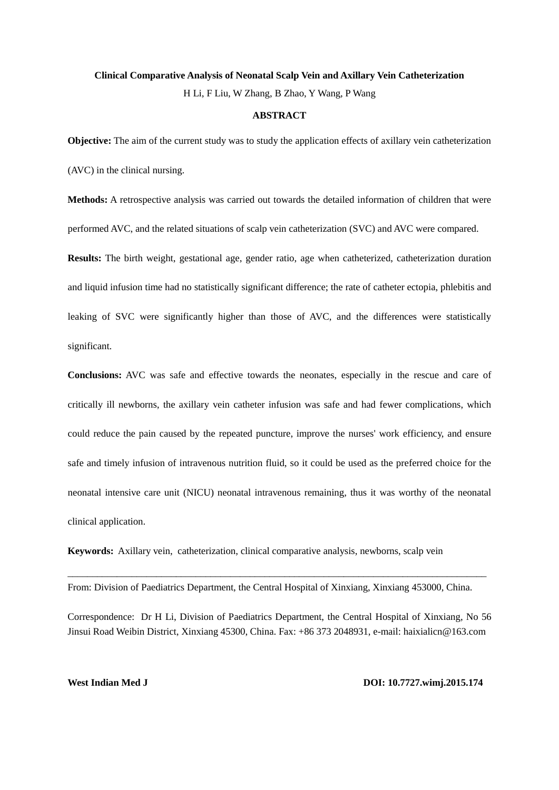#### **Clinical Comparative Analysis of Neonatal Scalp Vein and Axillary Vein Catheterization**

H Li, F Liu, W Zhang, B Zhao, Y Wang, P Wang

#### **ABSTRACT**

**Objective:** The aim of the current study was to study the application effects of axillary vein catheterization

(AVC) in the clinical nursing.

**Methods:** A retrospective analysis was carried out towards the detailed information of children that were performed AVC, and the related situations of scalp vein catheterization (SVC) and AVC were compared.

**Results:** The birth weight, gestational age, gender ratio, age when catheterized, catheterization duration and liquid infusion time had no statistically significant difference; the rate of catheter ectopia, phlebitis and leaking of SVC were significantly higher than those of AVC, and the differences were statistically significant.

**Conclusions:** AVC was safe and effective towards the neonates, especially in the rescue and care of critically ill newborns, the axillary vein catheter infusion was safe and had fewer complications, which could reduce the pain caused by the repeated puncture, improve the nurses' work efficiency, and ensure safe and timely infusion of intravenous nutrition fluid, so it could be used as the preferred choice for the neonatal intensive care unit (NICU) neonatal intravenous remaining, thus it was worthy of the neonatal clinical application.

**Keywords:** Axillary vein, catheterization, clinical comparative analysis, newborns, scalp vein

From: Division of Paediatrics Department, the Central Hospital of Xinxiang, Xinxiang 453000, China.

 $\_$  , and the set of the set of the set of the set of the set of the set of the set of the set of the set of the set of the set of the set of the set of the set of the set of the set of the set of the set of the set of th

Correspondence: Dr H Li, Division of Paediatrics Department, the Central Hospital of Xinxiang, No 56 Jinsui Road Weibin District, Xinxiang 45300, China. Fax: +86 373 2048931, e-mail: haixialicn@163.com

**West Indian Med J DOI: 10.7727.wimj.2015.174**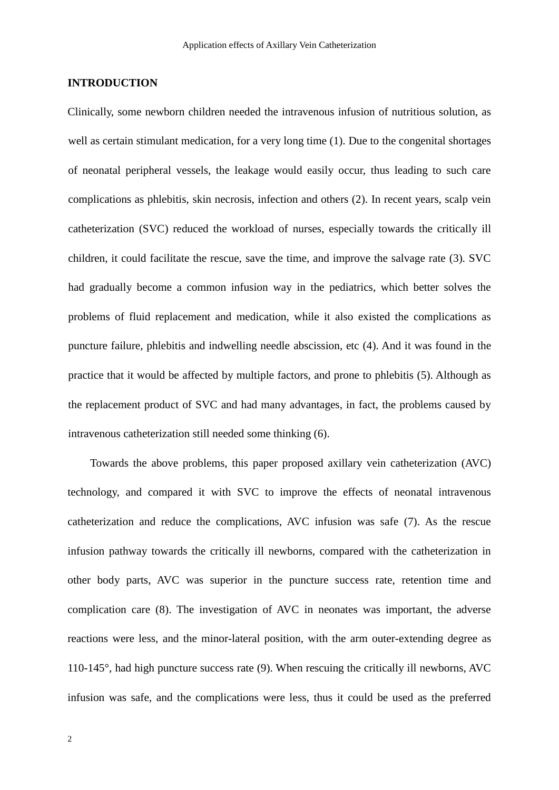# **INTRODUCTION**

Clinically, some newborn children needed the intravenous infusion of nutritious solution, as well as certain stimulant medication, for a very long time (1). Due to the congenital shortages of neonatal peripheral vessels, the leakage would easily occur, thus leading to such care complications as phlebitis, skin necrosis, infection and others (2). In recent years, scalp vein catheterization (SVC) reduced the workload of nurses, especially towards the critically ill children, it could facilitate the rescue, save the time, and improve the salvage rate (3). SVC had gradually become a common infusion way in the pediatrics, which better solves the problems of fluid replacement and medication, while it also existed the complications as puncture failure, phlebitis and indwelling needle abscission, etc (4). And it was found in the practice that it would be affected by multiple factors, and prone to phlebitis (5). Although as the replacement product of SVC and had many advantages, in fact, the problems caused by intravenous catheterization still needed some thinking (6).

Towards the above problems, this paper proposed axillary vein catheterization (AVC) technology, and compared it with SVC to improve the effects of neonatal intravenous catheterization and reduce the complications, AVC infusion was safe (7). As the rescue infusion pathway towards the critically ill newborns, compared with the catheterization in other body parts, AVC was superior in the puncture success rate, retention time and complication care (8). The investigation of AVC in neonates was important, the adverse reactions were less, and the minor-lateral position, with the arm outer-extending degree as 110-145°, had high puncture success rate (9). When rescuing the critically ill newborns, AVC infusion was safe, and the complications were less, thus it could be used as the preferred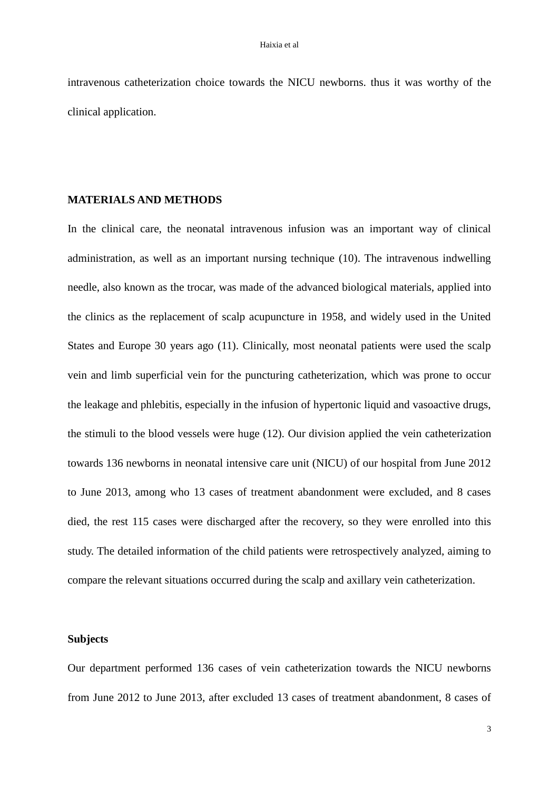intravenous catheterization choice towards the NICU newborns. thus it was worthy of the clinical application.

### **MATERIALS AND METHODS**

In the clinical care, the neonatal intravenous infusion was an important way of clinical administration, as well as an important nursing technique (10). The intravenous indwelling needle, also known as the trocar, was made of the advanced biological materials, applied into the clinics as the replacement of scalp acupuncture in 1958, and widely used in the United States and Europe 30 years ago (11). Clinically, most neonatal patients were used the scalp vein and limb superficial vein for the puncturing catheterization, which was prone to occur the leakage and phlebitis, especially in the infusion of hypertonic liquid and vasoactive drugs, the stimuli to the blood vessels were huge (12). Our division applied the vein catheterization towards 136 newborns in neonatal intensive care unit (NICU) of our hospital from June 2012 to June 2013, among who 13 cases of treatment abandonment were excluded, and 8 cases died, the rest 115 cases were discharged after the recovery, so they were enrolled into this study. The detailed information of the child patients were retrospectively analyzed, aiming to compare the relevant situations occurred during the scalp and axillary vein catheterization.

### **Subjects**

Our department performed 136 cases of vein catheterization towards the NICU newborns from June 2012 to June 2013, after excluded 13 cases of treatment abandonment, 8 cases of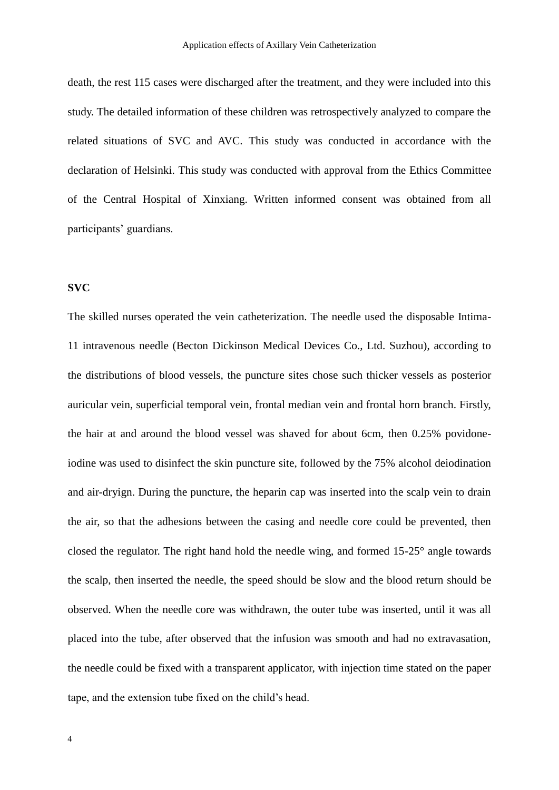death, the rest 115 cases were discharged after the treatment, and they were included into this study. The detailed information of these children was retrospectively analyzed to compare the related situations of SVC and AVC. This study was conducted in accordance with the declaration of Helsinki. This study was conducted with approval from the Ethics Committee of the Central Hospital of Xinxiang. Written informed consent was obtained from all participants' guardians.

# **SVC**

The skilled nurses operated the vein catheterization. The needle used the disposable Intima-11 intravenous needle (Becton Dickinson Medical Devices Co., Ltd. Suzhou), according to the distributions of blood vessels, the puncture sites chose such thicker vessels as posterior auricular vein, superficial temporal vein, frontal median vein and frontal horn branch. Firstly, the hair at and around the blood vessel was shaved for about 6cm, then 0.25% povidoneiodine was used to disinfect the skin puncture site, followed by the 75% alcohol deiodination and air-dryign. During the puncture, the heparin cap was inserted into the scalp vein to drain the air, so that the adhesions between the casing and needle core could be prevented, then closed the regulator. The right hand hold the needle wing, and formed 15-25° angle towards the scalp, then inserted the needle, the speed should be slow and the blood return should be observed. When the needle core was withdrawn, the outer tube was inserted, until it was all placed into the tube, after observed that the infusion was smooth and had no extravasation, the needle could be fixed with a transparent applicator, with injection time stated on the paper tape, and the extension tube fixed on the child's head.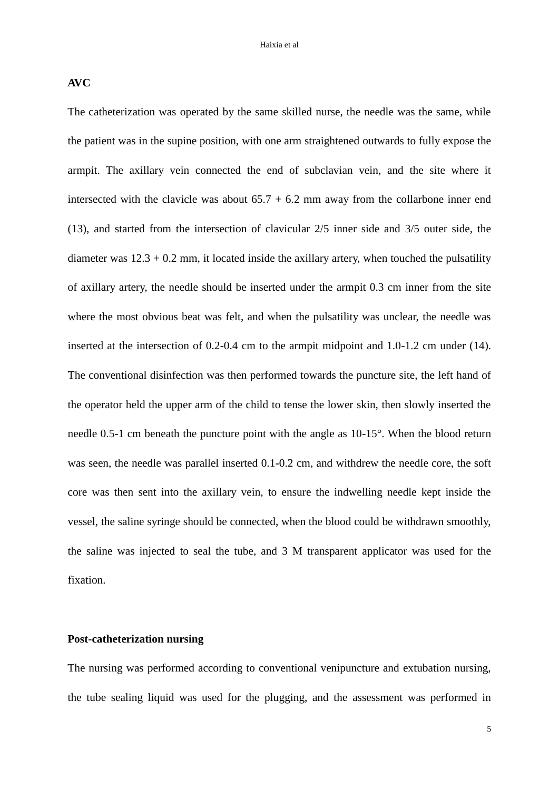**AVC**

The catheterization was operated by the same skilled nurse, the needle was the same, while the patient was in the supine position, with one arm straightened outwards to fully expose the armpit. The axillary vein connected the end of subclavian vein, and the site where it intersected with the clavicle was about  $65.7 + 6.2$  mm away from the collarbone inner end (13), and started from the intersection of clavicular 2/5 inner side and 3/5 outer side, the diameter was  $12.3 + 0.2$  mm, it located inside the axillary artery, when touched the pulsatility of axillary artery, the needle should be inserted under the armpit 0.3 cm inner from the site where the most obvious beat was felt, and when the pulsatility was unclear, the needle was inserted at the intersection of 0.2-0.4 cm to the armpit midpoint and 1.0-1.2 cm under (14). The conventional disinfection was then performed towards the puncture site, the left hand of the operator held the upper arm of the child to tense the lower skin, then slowly inserted the needle 0.5-1 cm beneath the puncture point with the angle as 10-15°. When the blood return was seen, the needle was parallel inserted 0.1-0.2 cm, and withdrew the needle core, the soft core was then sent into the axillary vein, to ensure the indwelling needle kept inside the vessel, the saline syringe should be connected, when the blood could be withdrawn smoothly, the saline was injected to seal the tube, and 3 M transparent applicator was used for the fixation.

# **Post-catheterization nursing**

The nursing was performed according to conventional venipuncture and extubation nursing, the tube sealing liquid was used for the plugging, and the assessment was performed in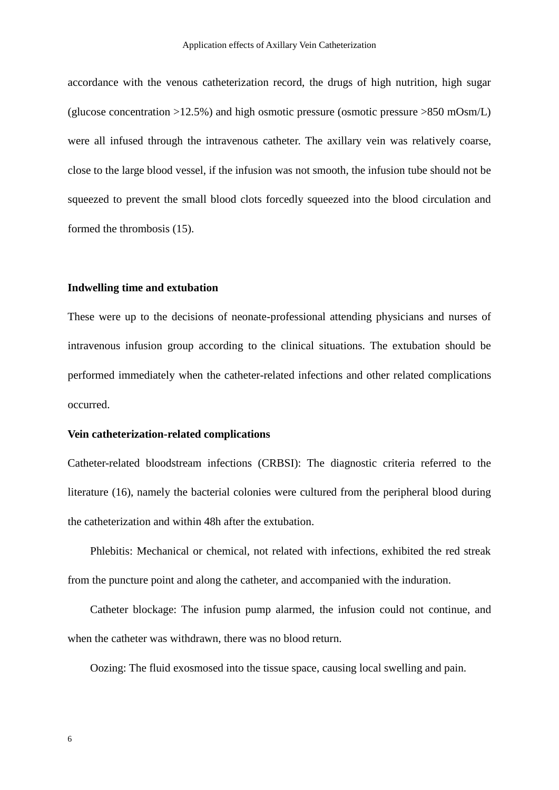accordance with the venous catheterization record, the drugs of high nutrition, high sugar (glucose concentration  $>12.5\%$ ) and high osmotic pressure (osmotic pressure  $>850$  mOsm/L) were all infused through the intravenous catheter. The axillary vein was relatively coarse, close to the large blood vessel, if the infusion was not smooth, the infusion tube should not be squeezed to prevent the small blood clots forcedly squeezed into the blood circulation and formed the thrombosis (15).

#### **Indwelling time and extubation**

These were up to the decisions of neonate-professional attending physicians and nurses of intravenous infusion group according to the clinical situations. The extubation should be performed immediately when the catheter-related infections and other related complications occurred.

#### **Vein catheterization-related complications**

Catheter-related bloodstream infections (CRBSI): The diagnostic criteria referred to the literature (16), namely the bacterial colonies were cultured from the peripheral blood during the catheterization and within 48h after the extubation.

Phlebitis: Mechanical or chemical, not related with infections, exhibited the red streak from the puncture point and along the catheter, and accompanied with the induration.

Catheter blockage: The infusion pump alarmed, the infusion could not continue, and when the catheter was withdrawn, there was no blood return.

Oozing: The fluid exosmosed into the tissue space, causing local swelling and pain.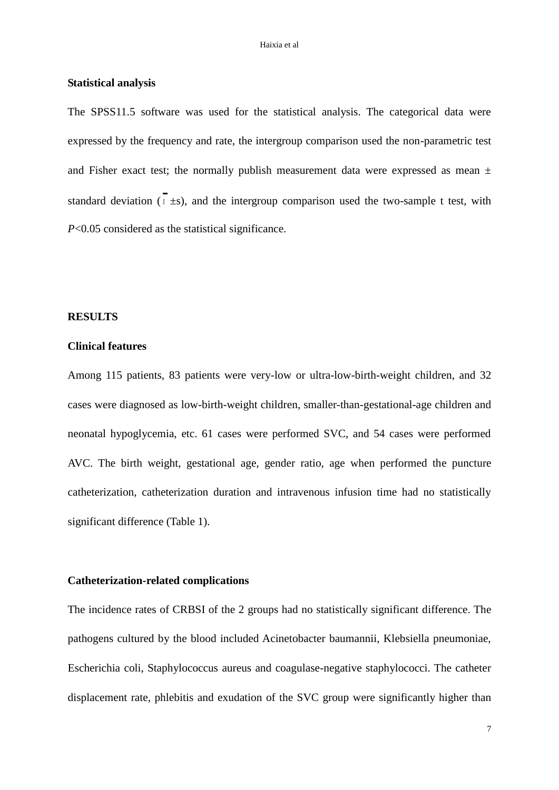#### **Statistical analysis**

The SPSS11.5 software was used for the statistical analysis. The categorical data were expressed by the frequency and rate, the intergroup comparison used the non-parametric test and Fisher exact test; the normally publish measurement data were expressed as mean  $\pm$ standard deviation  $(x \pm s)$ , and the intergroup comparison used the two-sample t test, with *P*<0.05 considered as the statistical significance.

# **RESULTS**

# **Clinical features**

Among 115 patients, 83 patients were very-low or ultra-low-birth-weight children, and 32 cases were diagnosed as low-birth-weight children, smaller-than-gestational-age children and neonatal hypoglycemia, etc. 61 cases were performed SVC, and 54 cases were performed AVC. The birth weight, gestational age, gender ratio, age when performed the puncture catheterization, catheterization duration and intravenous infusion time had no statistically significant difference (Table 1).

# **Catheterization-related complications**

The incidence rates of CRBSI of the 2 groups had no statistically significant difference. The pathogens cultured by the blood included Acinetobacter baumannii, Klebsiella pneumoniae, Escherichia coli, Staphylococcus aureus and coagulase-negative staphylococci. The catheter displacement rate, phlebitis and exudation of the SVC group were significantly higher than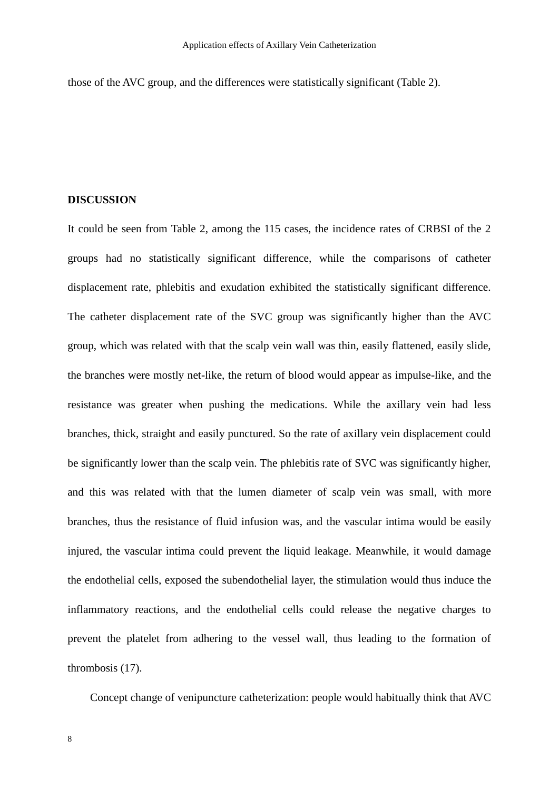those of the AVC group, and the differences were statistically significant (Table 2).

### **DISCUSSION**

It could be seen from Table 2, among the 115 cases, the incidence rates of CRBSI of the 2 groups had no statistically significant difference, while the comparisons of catheter displacement rate, phlebitis and exudation exhibited the statistically significant difference. The catheter displacement rate of the SVC group was significantly higher than the AVC group, which was related with that the scalp vein wall was thin, easily flattened, easily slide, the branches were mostly net-like, the return of blood would appear as impulse-like, and the resistance was greater when pushing the medications. While the axillary vein had less branches, thick, straight and easily punctured. So the rate of axillary vein displacement could be significantly lower than the scalp vein. The phlebitis rate of SVC was significantly higher, and this was related with that the lumen diameter of scalp vein was small, with more branches, thus the resistance of fluid infusion was, and the vascular intima would be easily injured, the vascular intima could prevent the liquid leakage. Meanwhile, it would damage the endothelial cells, exposed the subendothelial layer, the stimulation would thus induce the inflammatory reactions, and the endothelial cells could release the negative charges to prevent the platelet from adhering to the vessel wall, thus leading to the formation of thrombosis (17).

Concept change of venipuncture catheterization: people would habitually think that AVC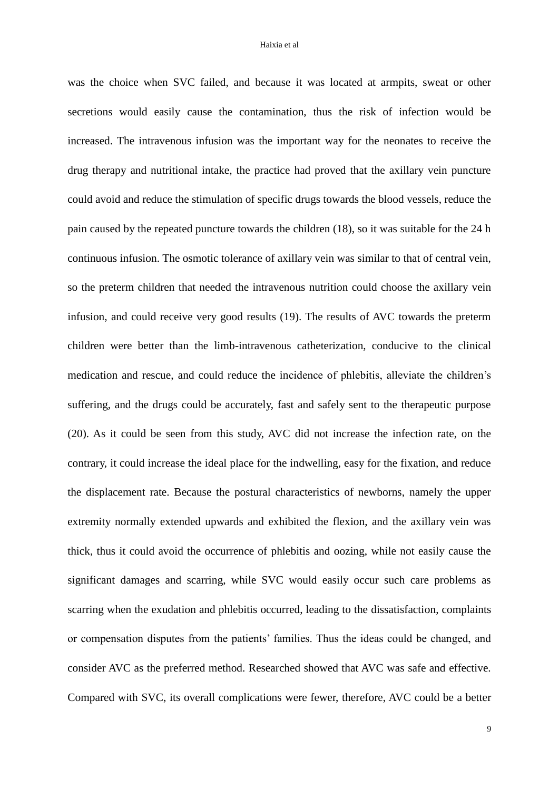was the choice when SVC failed, and because it was located at armpits, sweat or other secretions would easily cause the contamination, thus the risk of infection would be increased. The intravenous infusion was the important way for the neonates to receive the drug therapy and nutritional intake, the practice had proved that the axillary vein puncture could avoid and reduce the stimulation of specific drugs towards the blood vessels, reduce the pain caused by the repeated puncture towards the children (18), so it was suitable for the 24 h continuous infusion. The osmotic tolerance of axillary vein was similar to that of central vein, so the preterm children that needed the intravenous nutrition could choose the axillary vein infusion, and could receive very good results (19). The results of AVC towards the preterm children were better than the limb-intravenous catheterization, conducive to the clinical medication and rescue, and could reduce the incidence of phlebitis, alleviate the children's suffering, and the drugs could be accurately, fast and safely sent to the therapeutic purpose (20). As it could be seen from this study, AVC did not increase the infection rate, on the contrary, it could increase the ideal place for the indwelling, easy for the fixation, and reduce the displacement rate. Because the postural characteristics of newborns, namely the upper extremity normally extended upwards and exhibited the flexion, and the axillary vein was thick, thus it could avoid the occurrence of phlebitis and oozing, while not easily cause the significant damages and scarring, while SVC would easily occur such care problems as scarring when the exudation and phlebitis occurred, leading to the dissatisfaction, complaints or compensation disputes from the patients' families. Thus the ideas could be changed, and consider AVC as the preferred method. Researched showed that AVC was safe and effective. Compared with SVC, its overall complications were fewer, therefore, AVC could be a better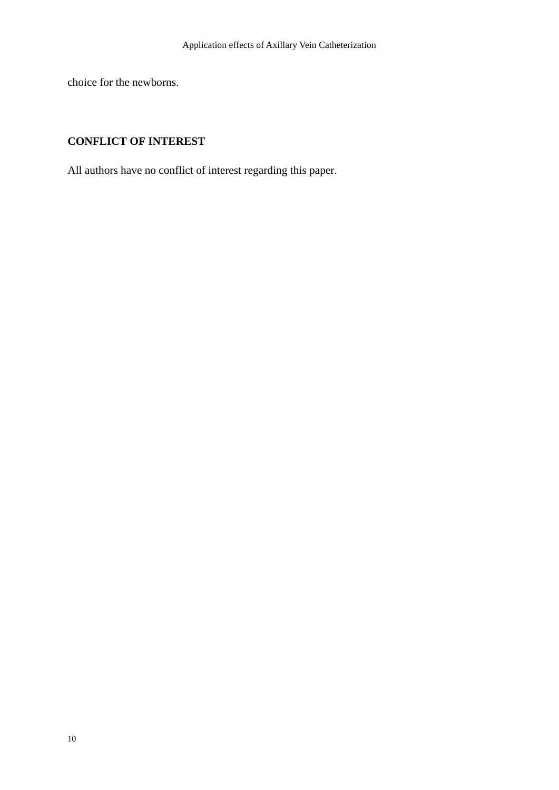choice for the newborns.

# **CONFLICT OF INTEREST**

All authors have no conflict of interest regarding this paper.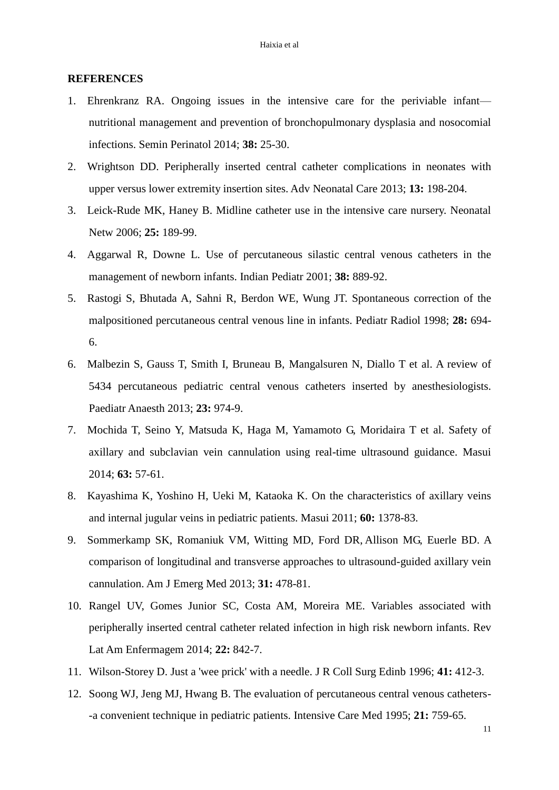#### **REFERENCES**

- 1. Ehrenkranz RA. Ongoing issues in the intensive care for the periviable infant nutritional management and prevention of bronchopulmonary dysplasia and nosocomial infections. Semin Perinatol 2014; **38:** 25-30.
- 2. Wrightson DD. Peripherally inserted central catheter complications in neonates with upper versus lower extremity insertion sites. Adv Neonatal Care 2013; **13:** 198-204.
- 3. Leick-Rude MK, Haney B. Midline catheter use in the intensive care nursery. Neonatal Netw 2006; **25:** 189-99.
- 4. Aggarwal R, Downe L. Use of percutaneous silastic central venous catheters in the management of newborn infants. Indian Pediatr 2001; **38:** 889-92.
- 5. Rastogi S, Bhutada A, Sahni R, [Berdon WE,](http://www.ncbi.nlm.nih.gov/pubmed/?term=Berdon%20WE%5BAuthor%5D&cauthor=true&cauthor_uid=9732496) [Wung JT.](http://www.ncbi.nlm.nih.gov/pubmed/?term=Wung%20JT%5BAuthor%5D&cauthor=true&cauthor_uid=9732496) Spontaneous correction of the malpositioned percutaneous central venous line in infants. Pediatr Radiol 1998; **28:** 694- 6.
- 6. Malbezin S, Gauss T, Smith I, Bruneau B, [Mangalsuren N,](http://www.ncbi.nlm.nih.gov/pubmed/?term=Mangalsuren%20N%5BAuthor%5D&cauthor=true&cauthor_uid=23659462) [Diallo T](http://www.ncbi.nlm.nih.gov/pubmed/?term=Diallo%20T%5BAuthor%5D&cauthor=true&cauthor_uid=23659462) et al. A review of 5434 percutaneous pediatric central venous catheters inserted by anesthesiologists. Paediatr Anaesth 2013; **23:** 974-9.
- 7. Mochida T, Seino Y, Matsuda K, Haga M, [Yamamoto G,](http://www.ncbi.nlm.nih.gov/pubmed/?term=Yamamoto%20G%5BAuthor%5D&cauthor=true&cauthor_uid=24558932) [Moridaira T](http://www.ncbi.nlm.nih.gov/pubmed/?term=Moridaira%20T%5BAuthor%5D&cauthor=true&cauthor_uid=24558932) et al. Safety of axillary and subclavian vein cannulation using real-time ultrasound guidance. Masui 2014; **63:** 57-61.
- 8. Kayashima K, Yoshino H, Ueki M, [Kataoka K.](http://www.ncbi.nlm.nih.gov/pubmed/?term=Kataoka%20K%5BAuthor%5D&cauthor=true&cauthor_uid=22256578) On the characteristics of axillary veins and internal jugular veins in pediatric patients. Masui 2011; **60:** 1378-83.
- 9. Sommerkamp SK, Romaniuk VM, Witting MD, [Ford DR,](http://www.ncbi.nlm.nih.gov/pubmed/?term=Ford%20DR%5BAuthor%5D&cauthor=true&cauthor_uid=23177356) [Allison MG,](http://www.ncbi.nlm.nih.gov/pubmed/?term=Allison%20MG%5BAuthor%5D&cauthor=true&cauthor_uid=23177356) [Euerle BD.](http://www.ncbi.nlm.nih.gov/pubmed/?term=Euerle%20BD%5BAuthor%5D&cauthor=true&cauthor_uid=23177356) A comparison of longitudinal and transverse approaches to ultrasound-guided axillary vein cannulation. Am J Emerg Med 2013; **31:** 478-81.
- 10. Rangel UV, Gomes Junior SC, Costa AM, [Moreira ME.](http://www.ncbi.nlm.nih.gov/pubmed/?term=Moreira%20ME%5BAuthor%5D&cauthor=true&cauthor_uid=25493681) Variables associated with peripherally inserted central catheter related infection in high risk newborn infants. Rev Lat Am Enfermagem 2014; **22:** 842-7.
- 11. Wilson-Storey D. Just a 'wee prick' with a needle. J R Coll Surg Edinb 1996; **41:** 412-3.
- 12. Soong WJ, Jeng MJ, Hwang B. The evaluation of percutaneous central venous catheters- -a convenient technique in pediatric patients. Intensive Care Med 1995; **21:** 759-65.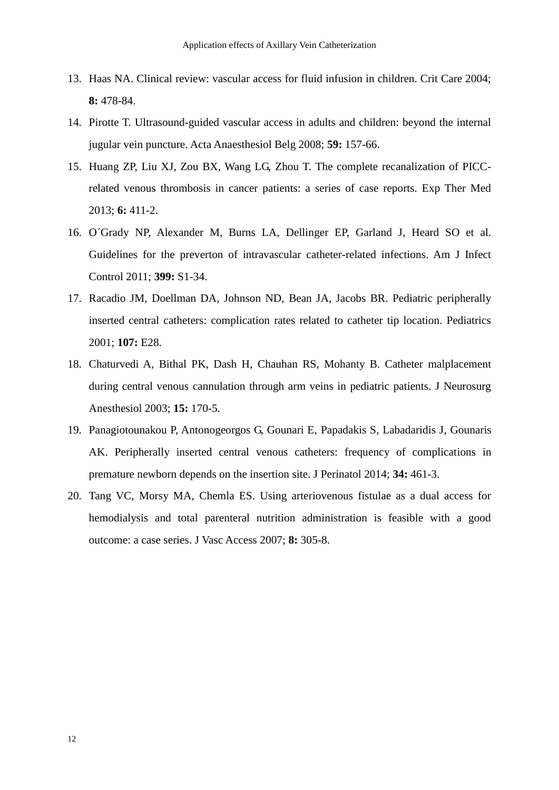- 13. Haas NA. Clinical review: vascular access for fluid infusion in children. Crit Care 2004; **8:** 478-84.
- 14. Pirotte T. Ultrasound-guided vascular access in adults and children: beyond the internal jugular vein puncture. Acta Anaesthesiol Belg 2008; **59:** 157-66.
- 15. Huang ZP, Liu XJ, Zou BX, [Wang LG,](http://www.ncbi.nlm.nih.gov/pubmed/?term=Wang%20LG%5BAuthor%5D&cauthor=true&cauthor_uid=24137199) [Zhou T.](http://www.ncbi.nlm.nih.gov/pubmed/?term=Zhou%20T%5BAuthor%5D&cauthor=true&cauthor_uid=24137199) The complete recanalization of PICCrelated venous thrombosis in cancer patients: a series of case reports. Exp Ther Med 2013; **6:** 411-2.
- 16. O´Grady NP, Alexander M, Burns LA, [Dellinger EP,](http://www.ncbi.nlm.nih.gov/pubmed/?term=Dellinger%20EP%5BAuthor%5D&cauthor=true&cauthor_uid=21511081) [Garland J,](http://www.ncbi.nlm.nih.gov/pubmed/?term=Garland%20J%5BAuthor%5D&cauthor=true&cauthor_uid=21511081) [Heard SO](http://www.ncbi.nlm.nih.gov/pubmed/?term=Heard%20SO%5BAuthor%5D&cauthor=true&cauthor_uid=21511081) et al. Guidelines for the preverton of intravascular catheter-related infections. Am J Infect Control 2011; **399:** S1-34.
- 17. Racadio JM, Doellman DA, Johnson ND, [Bean JA,](http://www.ncbi.nlm.nih.gov/pubmed/?term=Bean%20JA%5BAuthor%5D&cauthor=true&cauthor_uid=11158502) [Jacobs BR.](http://www.ncbi.nlm.nih.gov/pubmed/?term=Jacobs%20BR%5BAuthor%5D&cauthor=true&cauthor_uid=11158502) Pediatric peripherally inserted central catheters: complication rates related to catheter tip location. Pediatrics 2001; **107:** E28.
- 18. Chaturvedi A, Bithal PK, Dash H, [Chauhan RS,](http://www.ncbi.nlm.nih.gov/pubmed/?term=Chauhan%20RS%5BAuthor%5D&cauthor=true&cauthor_uid=12826963) [Mohanty B.](http://www.ncbi.nlm.nih.gov/pubmed/?term=Mohanty%20B%5BAuthor%5D&cauthor=true&cauthor_uid=12826963) Catheter malplacement during central venous cannulation through arm veins in pediatric patients. J Neurosurg Anesthesiol 2003; **15:** 170-5.
- 19. Panagiotounakou P, Antonogeorgos G, Gounari E, [Papadakis S,](http://www.ncbi.nlm.nih.gov/pubmed/?term=Papadakis%20S%5BAuthor%5D&cauthor=true&cauthor_uid=24625519) [Labadaridis J,](http://www.ncbi.nlm.nih.gov/pubmed/?term=Labadaridis%20J%5BAuthor%5D&cauthor=true&cauthor_uid=24625519) [Gounaris](http://www.ncbi.nlm.nih.gov/pubmed/?term=Gounaris%20AK%5BAuthor%5D&cauthor=true&cauthor_uid=24625519)  [AK.](http://www.ncbi.nlm.nih.gov/pubmed/?term=Gounaris%20AK%5BAuthor%5D&cauthor=true&cauthor_uid=24625519) Peripherally inserted central venous catheters: frequency of complications in premature newborn depends on the insertion site. J Perinatol 2014; **34:** 461-3.
- 20. Tang VC, Morsy MA, Chemla ES. Using arteriovenous fistulae as a dual access for hemodialysis and total parenteral nutrition administration is feasible with a good outcome: a case series. J Vasc Access 2007; **8:** 305-8.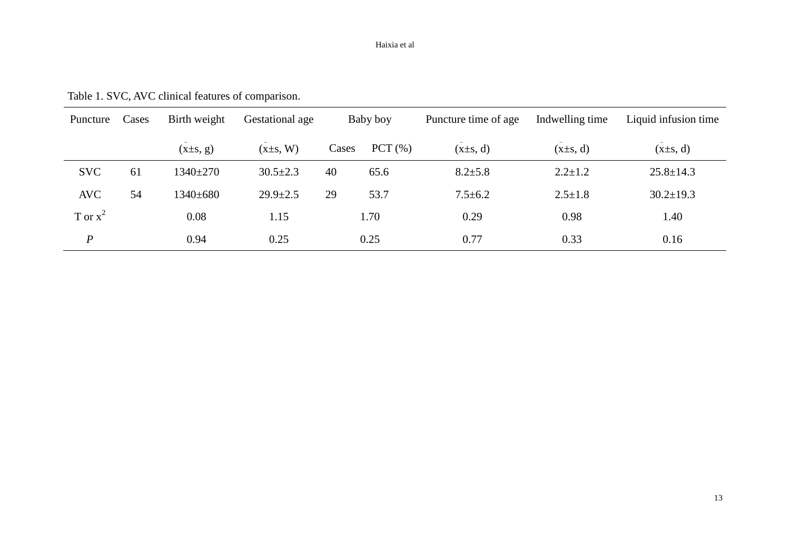#### Haixia et al

| Table 1. SVC, AVC clinical features of comparison. |  |  |  |  |  |  |  |
|----------------------------------------------------|--|--|--|--|--|--|--|
|----------------------------------------------------|--|--|--|--|--|--|--|

| Puncture         | Cases | Birth weight   | Gestational age | Baby boy |        | Puncture time of age | Indwelling time | Liquid infusion time |  |
|------------------|-------|----------------|-----------------|----------|--------|----------------------|-----------------|----------------------|--|
|                  |       | $(x\pm s, g)$  | $(x\pm s, W)$   | Cases    | PCT(%) | $(x\pm s, d)$        | $(x\pm s, d)$   | $(x\pm s, d)$        |  |
| <b>SVC</b>       | 61    | $1340 \pm 270$ | $30.5 \pm 2.3$  | 40       | 65.6   | $8.2 \pm 5.8$        | $2.2 \pm 1.2$   | $25.8 \pm 14.3$      |  |
| <b>AVC</b>       | 54    | 1340±680       | $29.9 \pm 2.5$  | 29       | 53.7   | $7.5 \pm 6.2$        | $2.5 \pm 1.8$   | $30.2 \pm 19.3$      |  |
| T or $x^2$       |       | 0.08           | 1.15            |          | 1.70   | 0.29                 | 0.98            | 1.40                 |  |
| $\boldsymbol{P}$ |       | 0.94           | 0.25            |          | 0.25   | 0.77                 | 0.33            | 0.16                 |  |